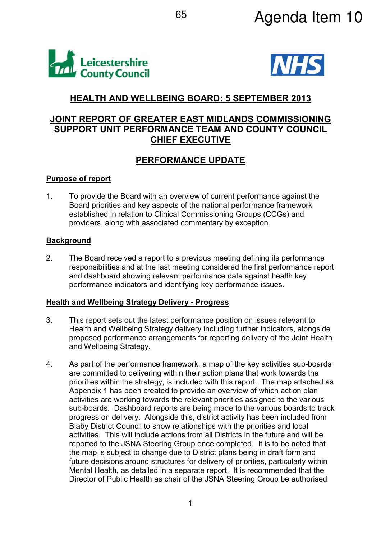



# HEALTH AND WELLBEING BOARD: 5 SEPTEMBER 2013

# JOINT REPORT OF GREATER EAST MIDLANDS COMMISSIONING SUPPORT UNIT PERFORMANCE TEAM AND COUNTY COUNCIL CHIEF EXECUTIVE

# PERFORMANCE UPDATE

#### Purpose of report

1. To provide the Board with an overview of current performance against the Board priorities and key aspects of the national performance framework established in relation to Clinical Commissioning Groups (CCGs) and providers, along with associated commentary by exception.

### **Background**

2. The Board received a report to a previous meeting defining its performance responsibilities and at the last meeting considered the first performance report and dashboard showing relevant performance data against health key performance indicators and identifying key performance issues.

#### Health and Wellbeing Strategy Delivery - Progress

- 3. This report sets out the latest performance position on issues relevant to Health and Wellbeing Strategy delivery including further indicators, alongside proposed performance arrangements for reporting delivery of the Joint Health and Wellbeing Strategy.
- 4. As part of the performance framework, a map of the key activities sub-boards are committed to delivering within their action plans that work towards the priorities within the strategy, is included with this report. The map attached as Appendix 1 has been created to provide an overview of which action plan activities are working towards the relevant priorities assigned to the various sub-boards. Dashboard reports are being made to the various boards to track progress on delivery. Alongside this, district activity has been included from Blaby District Council to show relationships with the priorities and local activities. This will include actions from all Districts in the future and will be reported to the JSNA Steering Group once completed. It is to be noted that the map is subject to change due to District plans being in draft form and future decisions around structures for delivery of priorities, particularly within Mental Health, as detailed in a separate report. It is recommended that the Director of Public Health as chair of the JSNA Steering Group be authorised

1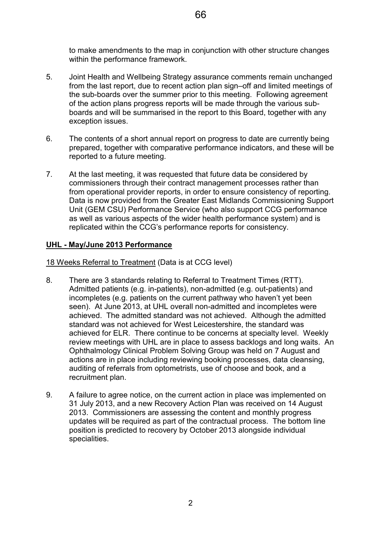- 5. Joint Health and Wellbeing Strategy assurance comments remain unchanged from the last report, due to recent action plan sign–off and limited meetings of the sub-boards over the summer prior to this meeting. Following agreement of the action plans progress reports will be made through the various subboards and will be summarised in the report to this Board, together with any exception issues.
- 6. The contents of a short annual report on progress to date are currently being prepared, together with comparative performance indicators, and these will be reported to a future meeting.
- 7. At the last meeting, it was requested that future data be considered by commissioners through their contract management processes rather than from operational provider reports, in order to ensure consistency of reporting. Data is now provided from the Greater East Midlands Commissioning Support Unit (GEM CSU) Performance Service (who also support CCG performance as well as various aspects of the wider health performance system) and is replicated within the CCG's performance reports for consistency.

## UHL - May/June 2013 Performance

18 Weeks Referral to Treatment (Data is at CCG level)

within the performance framework.

- 8. There are 3 standards relating to Referral to Treatment Times (RTT). Admitted patients (e.g. in-patients), non-admitted (e.g. out-patients) and incompletes (e.g. patients on the current pathway who haven't yet been seen). At June 2013, at UHL overall non-admitted and incompletes were achieved. The admitted standard was not achieved. Although the admitted standard was not achieved for West Leicestershire, the standard was achieved for ELR. There continue to be concerns at specialty level. Weekly review meetings with UHL are in place to assess backlogs and long waits. An Ophthalmology Clinical Problem Solving Group was held on 7 August and actions are in place including reviewing booking processes, data cleansing, auditing of referrals from optometrists, use of choose and book, and a recruitment plan.
- 9. A failure to agree notice, on the current action in place was implemented on 31 July 2013, and a new Recovery Action Plan was received on 14 August 2013. Commissioners are assessing the content and monthly progress updates will be required as part of the contractual process. The bottom line position is predicted to recovery by October 2013 alongside individual specialities.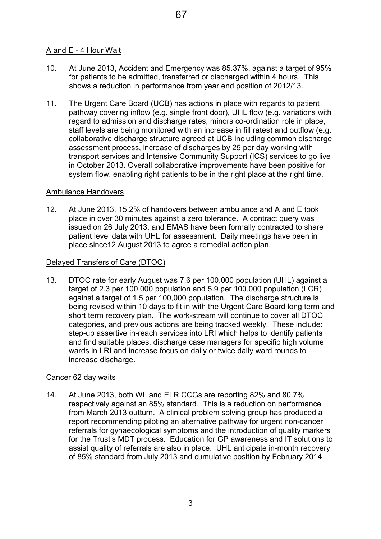## A and E - 4 Hour Wait

- 10. At June 2013, Accident and Emergency was 85.37%, against a target of 95% for patients to be admitted, transferred or discharged within 4 hours. This shows a reduction in performance from year end position of 2012/13.
- 11. The Urgent Care Board (UCB) has actions in place with regards to patient pathway covering inflow (e.g. single front door), UHL flow (e.g. variations with regard to admission and discharge rates, minors co-ordination role in place, staff levels are being monitored with an increase in fill rates) and outflow (e.g. collaborative discharge structure agreed at UCB including common discharge assessment process, increase of discharges by 25 per day working with transport services and Intensive Community Support (ICS) services to go live in October 2013. Overall collaborative improvements have been positive for system flow, enabling right patients to be in the right place at the right time.

### Ambulance Handovers

12. At June 2013, 15.2% of handovers between ambulance and A and E took place in over 30 minutes against a zero tolerance. A contract query was issued on 26 July 2013, and EMAS have been formally contracted to share patient level data with UHL for assessment. Daily meetings have been in place since12 August 2013 to agree a remedial action plan.

### Delayed Transfers of Care (DTOC)

13. DTOC rate for early August was 7.6 per 100,000 population (UHL) against a target of 2.3 per 100,000 population and 5.9 per 100,000 population (LCR) against a target of 1.5 per 100,000 population. The discharge structure is being revised within 10 days to fit in with the Urgent Care Board long term and short term recovery plan. The work-stream will continue to cover all DTOC categories, and previous actions are being tracked weekly. These include: step-up assertive in-reach services into LRI which helps to identify patients and find suitable places, discharge case managers for specific high volume wards in LRI and increase focus on daily or twice daily ward rounds to increase discharge.

#### Cancer 62 day waits

14. At June 2013, both WL and ELR CCGs are reporting 82% and 80.7% respectively against an 85% standard. This is a reduction on performance from March 2013 outturn. A clinical problem solving group has produced a report recommending piloting an alternative pathway for urgent non-cancer referrals for gynaecological symptoms and the introduction of quality markers for the Trust's MDT process. Education for GP awareness and IT solutions to assist quality of referrals are also in place. UHL anticipate in-month recovery of 85% standard from July 2013 and cumulative position by February 2014.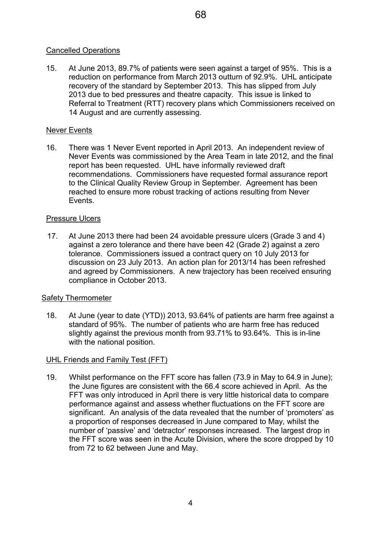## Cancelled Operations

15. At June 2013, 89.7% of patients were seen against a target of 95%. This is a reduction on performance from March 2013 outturn of 92.9%. UHL anticipate recovery of the standard by September 2013. This has slipped from July 2013 due to bed pressures and theatre capacity. This issue is linked to Referral to Treatment (RTT) recovery plans which Commissioners received on 14 August and are currently assessing.

## Never Events

16. There was 1 Never Event reported in April 2013. An independent review of Never Events was commissioned by the Area Team in late 2012, and the final report has been requested. UHL have informally reviewed draft recommendations. Commissioners have requested formal assurance report to the Clinical Quality Review Group in September. Agreement has been reached to ensure more robust tracking of actions resulting from Never Events.

#### Pressure Ulcers

17. At June 2013 there had been 24 avoidable pressure ulcers (Grade 3 and 4) against a zero tolerance and there have been 42 (Grade 2) against a zero tolerance. Commissioners issued a contract query on 10 July 2013 for discussion on 23 July 2013. An action plan for 2013/14 has been refreshed and agreed by Commissioners. A new trajectory has been received ensuring compliance in October 2013.

#### **Safety Thermometer**

18. At June (year to date (YTD)) 2013, 93.64% of patients are harm free against a standard of 95%. The number of patients who are harm free has reduced slightly against the previous month from 93.71% to 93.64%. This is in-line with the national position.

#### UHL Friends and Family Test (FFT)

19. Whilst performance on the FFT score has fallen (73.9 in May to 64.9 in June); the June figures are consistent with the 66.4 score achieved in April. As the FFT was only introduced in April there is very little historical data to compare performance against and assess whether fluctuations on the FFT score are significant. An analysis of the data revealed that the number of 'promoters' as a proportion of responses decreased in June compared to May, whilst the number of 'passive' and 'detractor' responses increased. The largest drop in the FFT score was seen in the Acute Division, where the score dropped by 10 from 72 to 62 between June and May.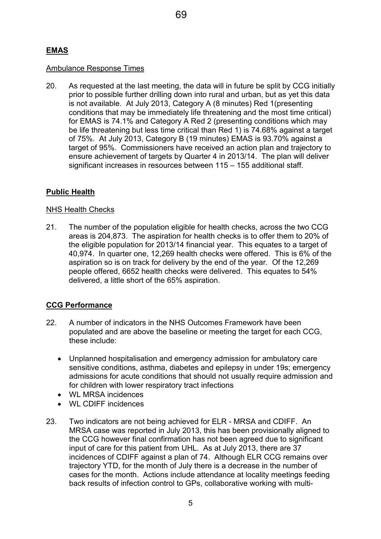## EMAS

#### Ambulance Response Times

20. As requested at the last meeting, the data will in future be split by CCG initially prior to possible further drilling down into rural and urban, but as yet this data is not available. At July 2013, Category A (8 minutes) Red 1(presenting conditions that may be immediately life threatening and the most time critical) for EMAS is 74.1% and Category A Red 2 (presenting conditions which may be life threatening but less time critical than Red 1) is 74.68% against a target of 75%. At July 2013, Category B (19 minutes) EMAS is 93.70% against a target of 95%. Commissioners have received an action plan and trajectory to ensure achievement of targets by Quarter 4 in 2013/14. The plan will deliver significant increases in resources between 115 – 155 additional staff.

### Public Health

#### NHS Health Checks

21. The number of the population eligible for health checks, across the two CCG areas is 204,873. The aspiration for health checks is to offer them to 20% of the eligible population for 2013/14 financial year. This equates to a target of 40,974. In quarter one, 12,269 health checks were offered. This is 6% of the aspiration so is on track for delivery by the end of the year. Of the 12,269 people offered, 6652 health checks were delivered. This equates to 54% delivered, a little short of the 65% aspiration.

#### CCG Performance

- 22. A number of indicators in the NHS Outcomes Framework have been populated and are above the baseline or meeting the target for each CCG, these include:
	- Unplanned hospitalisation and emergency admission for ambulatory care sensitive conditions, asthma, diabetes and epilepsy in under 19s; emergency admissions for acute conditions that should not usually require admission and for children with lower respiratory tract infections
	- WL MRSA incidences
	- WL CDIFF incidences
- 23. Two indicators are not being achieved for ELR MRSA and CDIFF. An MRSA case was reported in July 2013, this has been provisionally aligned to the CCG however final confirmation has not been agreed due to significant input of care for this patient from UHL. As at July 2013, there are 37 incidences of CDIFF against a plan of 74. Although ELR CCG remains over trajectory YTD, for the month of July there is a decrease in the number of cases for the month. Actions include attendance at locality meetings feeding back results of infection control to GPs, collaborative working with multi-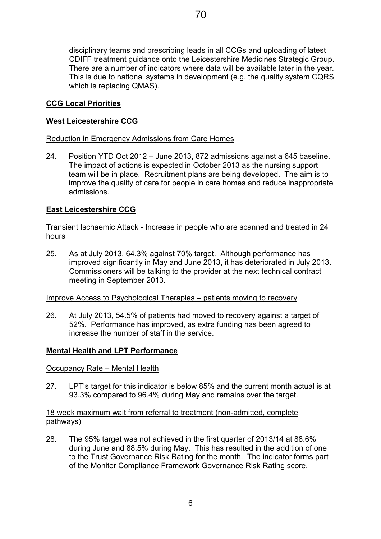disciplinary teams and prescribing leads in all CCGs and uploading of latest CDIFF treatment guidance onto the Leicestershire Medicines Strategic Group. There are a number of indicators where data will be available later in the year. This is due to national systems in development (e.g. the quality system CQRS which is replacing QMAS).

## CCG Local Priorities

## West Leicestershire CCG

Reduction in Emergency Admissions from Care Homes

24. Position YTD Oct 2012 – June 2013, 872 admissions against a 645 baseline. The impact of actions is expected in October 2013 as the nursing support team will be in place. Recruitment plans are being developed. The aim is to improve the quality of care for people in care homes and reduce inappropriate admissions.

## East Leicestershire CCG

Transient Ischaemic Attack - Increase in people who are scanned and treated in 24 hours

25. As at July 2013, 64.3% against 70% target. Although performance has improved significantly in May and June 2013, it has deteriorated in July 2013. Commissioners will be talking to the provider at the next technical contract meeting in September 2013.

#### Improve Access to Psychological Therapies – patients moving to recovery

26. At July 2013, 54.5% of patients had moved to recovery against a target of 52%. Performance has improved, as extra funding has been agreed to increase the number of staff in the service.

## Mental Health and LPT Performance

Occupancy Rate – Mental Health

27. LPT's target for this indicator is below 85% and the current month actual is at 93.3% compared to 96.4% during May and remains over the target.

### 18 week maximum wait from referral to treatment (non-admitted, complete pathways)

28. The 95% target was not achieved in the first quarter of 2013/14 at 88.6% during June and 88.5% during May. This has resulted in the addition of one to the Trust Governance Risk Rating for the month. The indicator forms part of the Monitor Compliance Framework Governance Risk Rating score.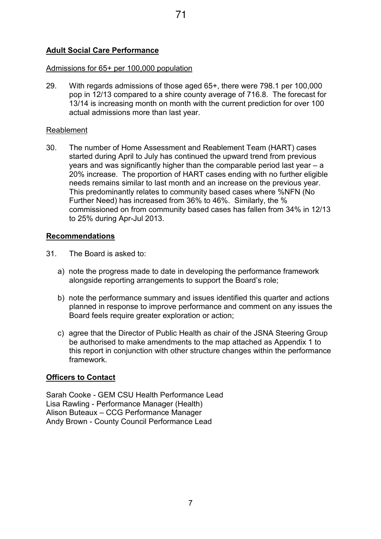# Adult Social Care Performance

#### Admissions for 65+ per 100,000 population

29. With regards admissions of those aged 65+, there were 798.1 per 100,000 pop in 12/13 compared to a shire county average of 716.8. The forecast for 13/14 is increasing month on month with the current prediction for over 100 actual admissions more than last year.

#### Reablement

30. The number of Home Assessment and Reablement Team (HART) cases started during April to July has continued the upward trend from previous years and was significantly higher than the comparable period last year – a 20% increase. The proportion of HART cases ending with no further eligible needs remains similar to last month and an increase on the previous year. This predominantly relates to community based cases where %NFN (No Further Need) has increased from 36% to 46%. Similarly, the % commissioned on from community based cases has fallen from 34% in 12/13 to 25% during Apr-Jul 2013.

#### Recommendations

- 31. The Board is asked to:
	- a) note the progress made to date in developing the performance framework alongside reporting arrangements to support the Board's role;
	- b) note the performance summary and issues identified this quarter and actions planned in response to improve performance and comment on any issues the Board feels require greater exploration or action;
	- c) agree that the Director of Public Health as chair of the JSNA Steering Group be authorised to make amendments to the map attached as Appendix 1 to this report in conjunction with other structure changes within the performance framework.

#### Officers to Contact

Sarah Cooke - GEM CSU Health Performance Lead Lisa Rawling - Performance Manager (Health) Alison Buteaux – CCG Performance Manager Andy Brown - County Council Performance Lead